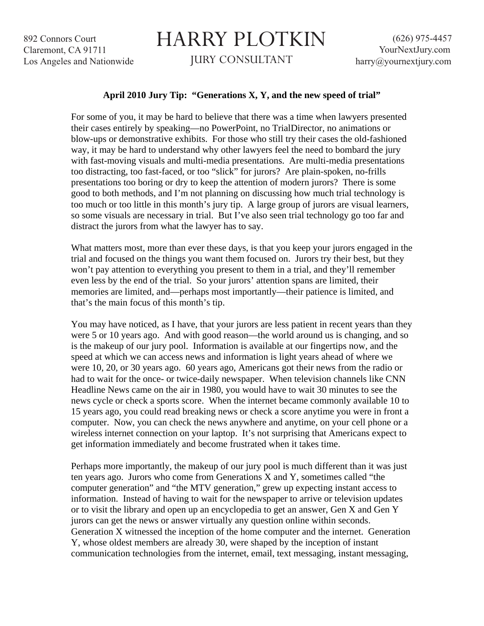892 Connors Court Claremont, CA 91711 Los Angeles and Nationwide

## HARRY PLOTKIN

JURY CONSULTANT

## **April 2010 Jury Tip: "Generations X, Y, and the new speed of trial"**

For some of you, it may be hard to believe that there was a time when lawyers presented their cases entirely by speaking—no PowerPoint, no TrialDirector, no animations or blow-ups or demonstrative exhibits. For those who still try their cases the old-fashioned way, it may be hard to understand why other lawyers feel the need to bombard the jury with fast-moving visuals and multi-media presentations. Are multi-media presentations too distracting, too fast-faced, or too "slick" for jurors? Are plain-spoken, no-frills presentations too boring or dry to keep the attention of modern jurors? There is some good to both methods, and I'm not planning on discussing how much trial technology is too much or too little in this month's jury tip. A large group of jurors are visual learners, so some visuals are necessary in trial. But I've also seen trial technology go too far and distract the jurors from what the lawyer has to say.

What matters most, more than ever these days, is that you keep your jurors engaged in the trial and focused on the things you want them focused on. Jurors try their best, but they won't pay attention to everything you present to them in a trial, and they'll remember even less by the end of the trial. So your jurors' attention spans are limited, their memories are limited, and—perhaps most importantly—their patience is limited, and that's the main focus of this month's tip.

You may have noticed, as I have, that your jurors are less patient in recent years than they were 5 or 10 years ago. And with good reason—the world around us is changing, and so is the makeup of our jury pool. Information is available at our fingertips now, and the speed at which we can access news and information is light years ahead of where we were 10, 20, or 30 years ago. 60 years ago, Americans got their news from the radio or had to wait for the once- or twice-daily newspaper. When television channels like CNN Headline News came on the air in 1980, you would have to wait 30 minutes to see the news cycle or check a sports score. When the internet became commonly available 10 to 15 years ago, you could read breaking news or check a score anytime you were in front a computer. Now, you can check the news anywhere and anytime, on your cell phone or a wireless internet connection on your laptop. It's not surprising that Americans expect to get information immediately and become frustrated when it takes time.

Perhaps more importantly, the makeup of our jury pool is much different than it was just ten years ago. Jurors who come from Generations X and Y, sometimes called "the computer generation" and "the MTV generation," grew up expecting instant access to information. Instead of having to wait for the newspaper to arrive or television updates or to visit the library and open up an encyclopedia to get an answer, Gen X and Gen Y jurors can get the news or answer virtually any question online within seconds. Generation X witnessed the inception of the home computer and the internet. Generation Y, whose oldest members are already 30, were shaped by the inception of instant communication technologies from the internet, email, text messaging, instant messaging,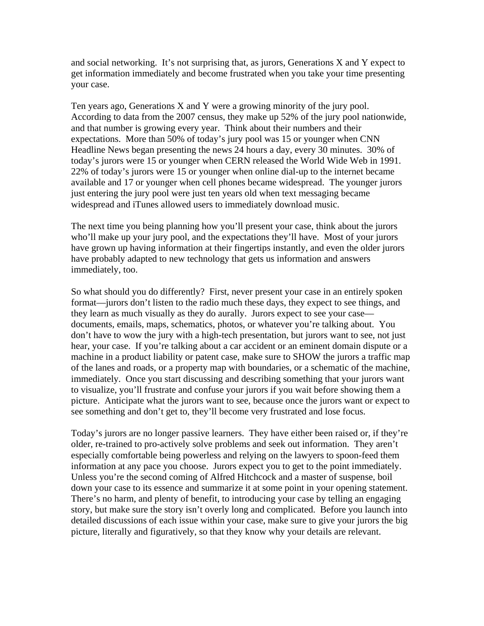and social networking. It's not surprising that, as jurors, Generations X and Y expect to get information immediately and become frustrated when you take your time presenting your case.

Ten years ago, Generations X and Y were a growing minority of the jury pool. According to data from the 2007 census, they make up 52% of the jury pool nationwide, and that number is growing every year. Think about their numbers and their expectations. More than 50% of today's jury pool was 15 or younger when CNN Headline News began presenting the news 24 hours a day, every 30 minutes. 30% of today's jurors were 15 or younger when CERN released the World Wide Web in 1991. 22% of today's jurors were 15 or younger when online dial-up to the internet became available and 17 or younger when cell phones became widespread. The younger jurors just entering the jury pool were just ten years old when text messaging became widespread and iTunes allowed users to immediately download music.

The next time you being planning how you'll present your case, think about the jurors who'll make up your jury pool, and the expectations they'll have. Most of your jurors have grown up having information at their fingertips instantly, and even the older jurors have probably adapted to new technology that gets us information and answers immediately, too.

So what should you do differently? First, never present your case in an entirely spoken format—jurors don't listen to the radio much these days, they expect to see things, and they learn as much visually as they do aurally. Jurors expect to see your case documents, emails, maps, schematics, photos, or whatever you're talking about. You don't have to wow the jury with a high-tech presentation, but jurors want to see, not just hear, your case. If you're talking about a car accident or an eminent domain dispute or a machine in a product liability or patent case, make sure to SHOW the jurors a traffic map of the lanes and roads, or a property map with boundaries, or a schematic of the machine, immediately. Once you start discussing and describing something that your jurors want to visualize, you'll frustrate and confuse your jurors if you wait before showing them a picture. Anticipate what the jurors want to see, because once the jurors want or expect to see something and don't get to, they'll become very frustrated and lose focus.

Today's jurors are no longer passive learners. They have either been raised or, if they're older, re-trained to pro-actively solve problems and seek out information. They aren't especially comfortable being powerless and relying on the lawyers to spoon-feed them information at any pace you choose. Jurors expect you to get to the point immediately. Unless you're the second coming of Alfred Hitchcock and a master of suspense, boil down your case to its essence and summarize it at some point in your opening statement. There's no harm, and plenty of benefit, to introducing your case by telling an engaging story, but make sure the story isn't overly long and complicated. Before you launch into detailed discussions of each issue within your case, make sure to give your jurors the big picture, literally and figuratively, so that they know why your details are relevant.